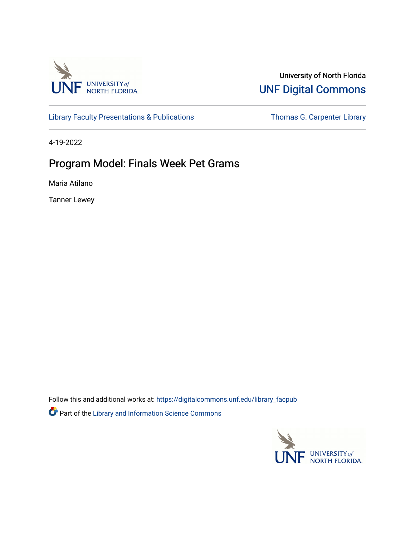

### University of North Florida [UNF Digital Commons](https://digitalcommons.unf.edu/)

[Library Faculty Presentations & Publications](https://digitalcommons.unf.edu/library_facpub) Thomas G. Carpenter Library

4-19-2022

### Program Model: Finals Week Pet Grams

Maria Atilano

Tanner Lewey

Follow this and additional works at: [https://digitalcommons.unf.edu/library\\_facpub](https://digitalcommons.unf.edu/library_facpub?utm_source=digitalcommons.unf.edu%2Flibrary_facpub%2F108&utm_medium=PDF&utm_campaign=PDFCoverPages) Part of the [Library and Information Science Commons](http://network.bepress.com/hgg/discipline/1018?utm_source=digitalcommons.unf.edu%2Flibrary_facpub%2F108&utm_medium=PDF&utm_campaign=PDFCoverPages) 

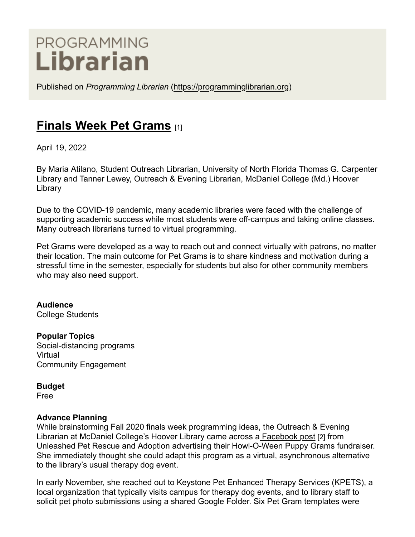# PROGRAMMING Librarian

Published on *Programming Librarian* [\(https://programminglibrarian.org\)](https://programminglibrarian.org/)

# **[Finals Week Pet Grams](https://programminglibrarian.org/programs/finals-week-pet-grams)** [1]

April 19, 2022

By Maria Atilano, Student Outreach Librarian, University of North Florida Thomas G. Carpenter Library and Tanner Lewey, Outreach & Evening Librarian, McDaniel College (Md.) Hoover Library

Due to the COVID-19 pandemic, many academic libraries were faced with the challenge of supporting academic success while most students were off-campus and taking online classes. Many outreach librarians turned to virtual programming.

Pet Grams were developed as a way to reach out and connect virtually with patrons, no matter their location. The main outcome for Pet Grams is to share kindness and motivation during a stressful time in the semester, especially for students but also for other community members who may also need support.

**Audience** College Students

**Popular Topics** Social-distancing programs **Virtual** Community Engagement

**Budget**

Free

#### **Advance Planning**

While brainstorming Fall 2020 finals week programming ideas, the Outreach & Evening Librarian at McDaniel College's Hoover Library came across [a Facebook post](https://www.facebook.com/UnleashedPetRescue/posts/3566321470077666/) [2] from Unleashed Pet Rescue and Adoption advertising their Howl-O-Ween Puppy Grams fundraiser. She immediately thought she could adapt this program as a virtual, asynchronous alternative to the library's usual therapy dog event.

In early November, she reached out to Keystone Pet Enhanced Therapy Services (KPETS), a local organization that typically visits campus for therapy dog events, and to library staff to solicit pet photo submissions using a shared Google Folder. Six Pet Gram templates were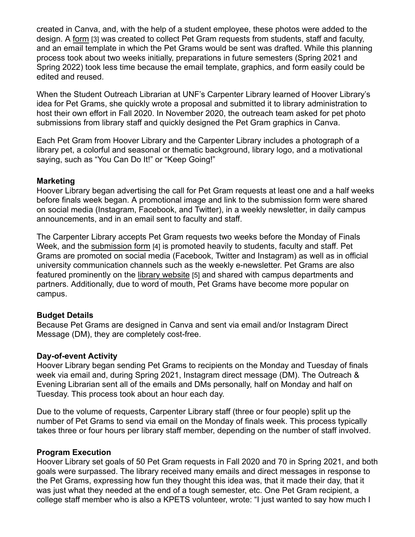created in Canva, and, with the help of a student employee, these photos were added to the design. A [form](https://hoover-mcdaniel.libwizard.com/f/finals-petgram) [3] was created to collect Pet Gram requests from students, staff and faculty, and an email template in which the Pet Grams would be sent was drafted. While this planning process took about two weeks initially, preparations in future semesters (Spring 2021 and Spring 2022) took less time because the email template, graphics, and form easily could be edited and reused.

When the Student Outreach Librarian at UNF's Carpenter Library learned of Hoover Library's idea for Pet Grams, she quickly wrote a proposal and submitted it to library administration to host their own effort in Fall 2020. In November 2020, the outreach team asked for pet photo submissions from library staff and quickly designed the Pet Gram graphics in Canva.

Each Pet Gram from Hoover Library and the Carpenter Library includes a photograph of a library pet, a colorful and seasonal or thematic background, library logo, and a motivational saying, such as "You Can Do It!" or "Keep Going!"

#### **Marketing**

Hoover Library began advertising the call for Pet Gram requests at least one and a half weeks before finals week began. A promotional image and link to the submission form were shared on social media (Instagram, Facebook, and Twitter), in a weekly newsletter, in daily campus announcements, and in an email sent to faculty and staff.

The Carpenter Library accepts Pet Gram requests two weeks before the Monday of Finals Week, and the [submission form](https://unf.libwizard.com/f/petgram) [4] is promoted heavily to students, faculty and staff. Pet Grams are promoted on social media (Facebook, Twitter and Instagram) as well as in official university communication channels such as the weekly e-newsletter. Pet Grams are also featured prominently on the [library website](https://unf.libcal.com/calendar/events/petgrams-fall21) [5] and shared with campus departments and partners. Additionally, due to word of mouth, Pet Grams have become more popular on campus.

#### **Budget Details**

Because Pet Grams are designed in Canva and sent via email and/or Instagram Direct Message (DM), they are completely cost-free.

#### **Day-of-event Activity**

Hoover Library began sending Pet Grams to recipients on the Monday and Tuesday of finals week via email and, during Spring 2021, Instagram direct message (DM). The Outreach & Evening Librarian sent all of the emails and DMs personally, half on Monday and half on Tuesday. This process took about an hour each day.

Due to the volume of requests, Carpenter Library staff (three or four people) split up the number of Pet Grams to send via email on the Monday of finals week. This process typically takes three or four hours per library staff member, depending on the number of staff involved.

#### **Program Execution**

Hoover Library set goals of 50 Pet Gram requests in Fall 2020 and 70 in Spring 2021, and both goals were surpassed. The library received many emails and direct messages in response to the Pet Grams, expressing how fun they thought this idea was, that it made their day, that it was just what they needed at the end of a tough semester, etc. One Pet Gram recipient, a college staff member who is also a KPETS volunteer, wrote: "I just wanted to say how much I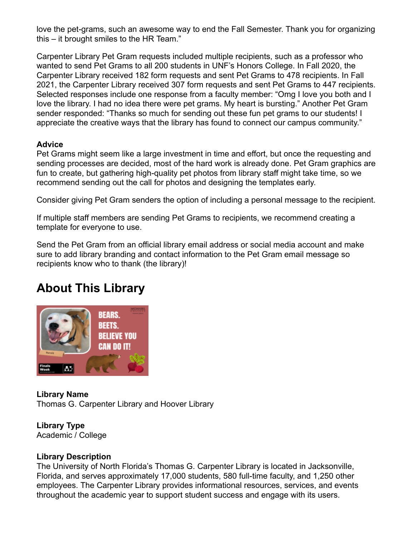love the pet-grams, such an awesome way to end the Fall Semester. Thank you for organizing this – it brought smiles to the HR Team."

Carpenter Library Pet Gram requests included multiple recipients, such as a professor who wanted to send Pet Grams to all 200 students in UNF's Honors College. In Fall 2020, the Carpenter Library received 182 form requests and sent Pet Grams to 478 recipients. In Fall 2021, the Carpenter Library received 307 form requests and sent Pet Grams to 447 recipients. Selected responses include one response from a faculty member: "Omg I love you both and I love the library. I had no idea there were pet grams. My heart is bursting." Another Pet Gram sender responded: "Thanks so much for sending out these fun pet grams to our students! I appreciate the creative ways that the library has found to connect our campus community."

#### **Advice**

Pet Grams might seem like a large investment in time and effort, but once the requesting and sending processes are decided, most of the hard work is already done. Pet Gram graphics are fun to create, but gathering high-quality pet photos from library staff might take time, so we recommend sending out the call for photos and designing the templates early.

Consider giving Pet Gram senders the option of including a personal message to the recipient.

If multiple staff members are sending Pet Grams to recipients, we recommend creating a template for everyone to use.

Send the Pet Gram from an official library email address or social media account and make sure to add library branding and contact information to the Pet Gram email message so recipients know who to thank (the library)!

# **About This Library**



**Library Name** Thomas G. Carpenter Library and Hoover Library

## **Library Type**

Academic / College

#### **Library Description**

The University of North Florida's Thomas G. Carpenter Library is located in Jacksonville, Florida, and serves approximately 17,000 students, 580 full-time faculty, and 1,250 other employees. The Carpenter Library provides informational resources, services, and events throughout the academic year to support student success and engage with its users.